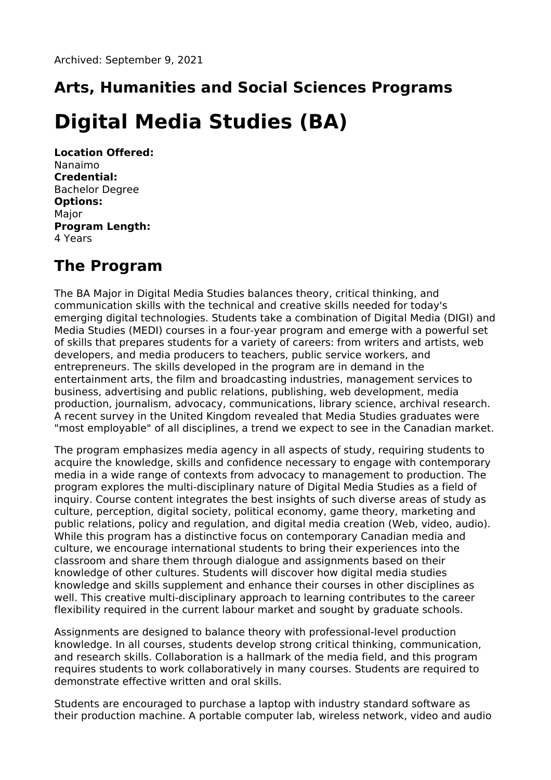# **Arts, Humanities and Social Sciences Programs**

## **Digital Media Studies (BA)**

**Location Offered:** Nanaimo **Credential:** Bachelor Degree **Options:** Major **Program Length:** 4 Years

### **The Program**

The BA Major in Digital Media Studies balances theory, critical thinking, and communication skills with the technical and creative skills needed for today's emerging digital technologies. Students take a combination of Digital Media (DIGI) and Media Studies (MEDI) courses in a four-year program and emerge with a powerful set of skills that prepares students for a variety of careers: from writers and artists, web developers, and media producers to teachers, public service workers, and entrepreneurs. The skills developed in the program are in demand in the entertainment arts, the film and broadcasting industries, management services to business, advertising and public relations, publishing, web development, media production, journalism, advocacy, communications, library science, archival research. A recent survey in the United Kingdom revealed that Media Studies graduates were "most employable" of all disciplines, a trend we expect to see in the Canadian market.

The program emphasizes media agency in all aspects of study, requiring students to acquire the knowledge, skills and confidence necessary to engage with contemporary media in a wide range of contexts from advocacy to management to production. The program explores the multi-disciplinary nature of Digital Media Studies as a field of inquiry. Course content integrates the best insights of such diverse areas of study as culture, perception, digital society, political economy, game theory, marketing and public relations, policy and regulation, and digital media creation (Web, video, audio). While this program has a distinctive focus on contemporary Canadian media and culture, we encourage international students to bring their experiences into the classroom and share them through dialogue and assignments based on their knowledge of other cultures. Students will discover how digital media studies knowledge and skills supplement and enhance their courses in other disciplines as well. This creative multi-disciplinary approach to learning contributes to the career flexibility required in the current labour market and sought by graduate schools.

Assignments are designed to balance theory with professional-level production knowledge. In all courses, students develop strong critical thinking, communication, and research skills. Collaboration is a hallmark of the media field, and this program requires students to work collaboratively in many courses. Students are required to demonstrate effective written and oral skills.

Students are encouraged to purchase a laptop with industry standard software as their production machine. A portable computer lab, wireless network, video and audio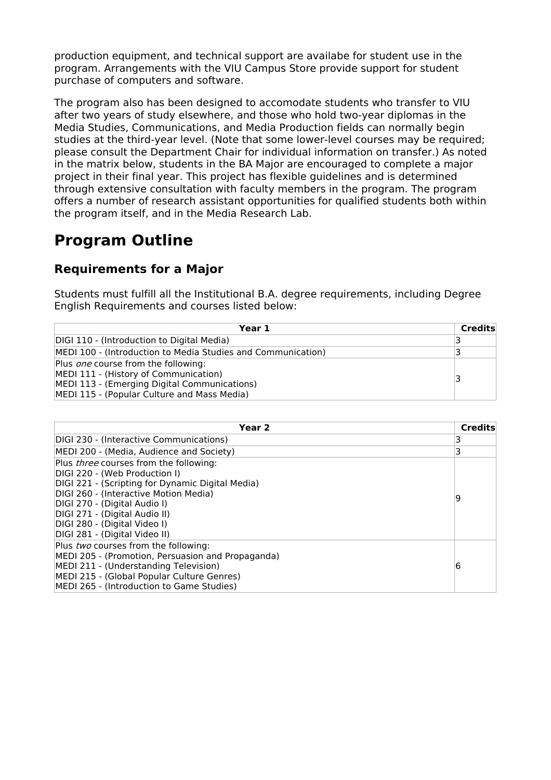production equipment, and technical support are availabe for student use in the program. Arrangements with the VIU Campus Store provide support for student purchase of computers and software.

The program also has been designed to accomodate students who transfer to VIU after two years of study elsewhere, and those who hold two-year diplomas in the Media Studies, Communications, and Media Production fields can normally begin studies at the third-year level. (Note that some lower-level courses may be required; please consult the Department Chair for individual information on transfer.) As noted in the matrix below, students in the BA Major are encouraged to complete a major project in their final year. This project has flexible guidelines and is determined through extensive consultation with faculty members in the program. The program offers a number of research assistant opportunities for qualified students both within the program itself, and in the Media Research Lab.

#### **Program Outline**

#### **Requirements for a Major**

Students must fulfill all the Institutional B.A. degree requirements, including Degree English Requirements and courses listed below:

| Year 1                                                                                                                                                                             | <b>Credits</b> |
|------------------------------------------------------------------------------------------------------------------------------------------------------------------------------------|----------------|
| DIGI 110 - (Introduction to Digital Media)                                                                                                                                         |                |
| MEDI 100 - (Introduction to Media Studies and Communication)                                                                                                                       |                |
| Plus <i>one</i> course from the following:<br>MEDI 111 - (History of Communication)<br>MEDI 113 - (Emerging Digital Communications)<br>MEDI 115 - (Popular Culture and Mass Media) |                |

| Year <sub>2</sub>                                 | <b>Credits</b> |
|---------------------------------------------------|----------------|
| DIGI 230 - (Interactive Communications)           | 3              |
| MEDI 200 - (Media, Audience and Society)          | 3              |
| Plus three courses from the following:            |                |
| DIGI 220 - (Web Production I)                     |                |
| DIGI 221 - (Scripting for Dynamic Digital Media)  |                |
| DIGI 260 - (Interactive Motion Media)             | 9              |
| DIGI 270 - (Digital Audio I)                      |                |
| DIGI 271 - (Digital Audio II)                     |                |
| DIGI 280 - (Digital Video I)                      |                |
| DIGI 281 - (Digital Video II)                     |                |
| Plus two courses from the following:              |                |
| MEDI 205 - (Promotion, Persuasion and Propaganda) |                |
| MEDI 211 - (Understanding Television)             | 6              |
| MEDI 215 - (Global Popular Culture Genres)        |                |
| MEDI 265 - (Introduction to Game Studies)         |                |